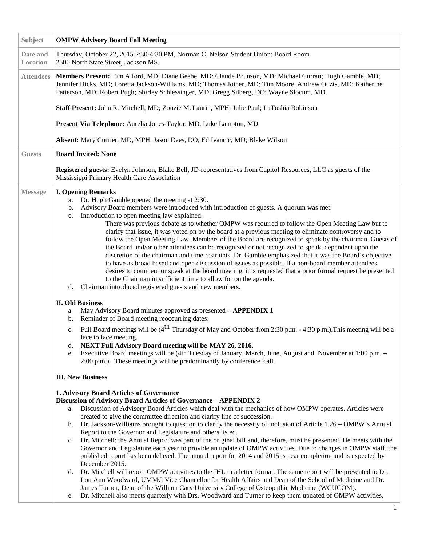| Subject              | <b>OMPW Advisory Board Fall Meeting</b>                                                                                                                                                                                                                                                                                                                                                                                                                                                                                                                                                                                                                                                                                                                                                                                                                                                                                                                                                                                                                                                                                                                                                                                                                                                                                                                                                                                                                                                                                                                                                                                                                                                                 |
|----------------------|---------------------------------------------------------------------------------------------------------------------------------------------------------------------------------------------------------------------------------------------------------------------------------------------------------------------------------------------------------------------------------------------------------------------------------------------------------------------------------------------------------------------------------------------------------------------------------------------------------------------------------------------------------------------------------------------------------------------------------------------------------------------------------------------------------------------------------------------------------------------------------------------------------------------------------------------------------------------------------------------------------------------------------------------------------------------------------------------------------------------------------------------------------------------------------------------------------------------------------------------------------------------------------------------------------------------------------------------------------------------------------------------------------------------------------------------------------------------------------------------------------------------------------------------------------------------------------------------------------------------------------------------------------------------------------------------------------|
| Date and<br>Location | Thursday, October 22, 2015 2:30-4:30 PM, Norman C. Nelson Student Union: Board Room<br>2500 North State Street, Jackson MS.                                                                                                                                                                                                                                                                                                                                                                                                                                                                                                                                                                                                                                                                                                                                                                                                                                                                                                                                                                                                                                                                                                                                                                                                                                                                                                                                                                                                                                                                                                                                                                             |
| <b>Attendees</b>     | Members Present: Tim Alford, MD; Diane Beebe, MD: Claude Brunson, MD: Michael Curran; Hugh Gamble, MD;<br>Jennifer Hicks, MD; Loretta Jackson-Williams, MD; Thomas Joiner, MD; Tim Moore, Andrew Ouzts, MD; Katherine<br>Patterson, MD; Robert Pugh; Shirley Schlessinger, MD; Gregg Silberg, DO; Wayne Slocum, MD.                                                                                                                                                                                                                                                                                                                                                                                                                                                                                                                                                                                                                                                                                                                                                                                                                                                                                                                                                                                                                                                                                                                                                                                                                                                                                                                                                                                     |
|                      | Staff Present: John R. Mitchell, MD; Zonzie McLaurin, MPH; Julie Paul; LaToshia Robinson                                                                                                                                                                                                                                                                                                                                                                                                                                                                                                                                                                                                                                                                                                                                                                                                                                                                                                                                                                                                                                                                                                                                                                                                                                                                                                                                                                                                                                                                                                                                                                                                                |
|                      | Present Via Telephone: Aurelia Jones-Taylor, MD, Luke Lampton, MD                                                                                                                                                                                                                                                                                                                                                                                                                                                                                                                                                                                                                                                                                                                                                                                                                                                                                                                                                                                                                                                                                                                                                                                                                                                                                                                                                                                                                                                                                                                                                                                                                                       |
|                      | Absent: Mary Currier, MD, MPH, Jason Dees, DO; Ed Ivancic, MD; Blake Wilson                                                                                                                                                                                                                                                                                                                                                                                                                                                                                                                                                                                                                                                                                                                                                                                                                                                                                                                                                                                                                                                                                                                                                                                                                                                                                                                                                                                                                                                                                                                                                                                                                             |
| <b>Guests</b>        | <b>Board Invited: None</b>                                                                                                                                                                                                                                                                                                                                                                                                                                                                                                                                                                                                                                                                                                                                                                                                                                                                                                                                                                                                                                                                                                                                                                                                                                                                                                                                                                                                                                                                                                                                                                                                                                                                              |
|                      | Registered guests: Evelyn Johnson, Blake Bell, JD-representatives from Capitol Resources, LLC as guests of the<br>Mississippi Primary Health Care Association                                                                                                                                                                                                                                                                                                                                                                                                                                                                                                                                                                                                                                                                                                                                                                                                                                                                                                                                                                                                                                                                                                                                                                                                                                                                                                                                                                                                                                                                                                                                           |
| <b>Message</b>       | <b>I. Opening Remarks</b><br>Dr. Hugh Gamble opened the meeting at 2:30.<br>a.<br>Advisory Board members were introduced with introduction of guests. A quorum was met.<br>b.<br>Introduction to open meeting law explained.<br>c.<br>There was previous debate as to whether OMPW was required to follow the Open Meeting Law but to<br>clarify that issue, it was voted on by the board at a previous meeting to eliminate controversy and to<br>follow the Open Meeting Law. Members of the Board are recognized to speak by the chairman. Guests of<br>the Board and/or other attendees can be recognized or not recognized to speak, dependent upon the<br>discretion of the chairman and time restraints. Dr. Gamble emphasized that it was the Board's objective<br>to have as broad based and open discussion of issues as possible. If a non-board member attendees<br>desires to comment or speak at the board meeting, it is requested that a prior formal request be presented<br>to the Chairman in sufficient time to allow for on the agenda.<br>Chairman introduced registered guests and new members.<br>d.<br><b>II. Old Business</b><br>May Advisory Board minutes approved as presented - APPENDIX 1<br>a.<br>Reminder of Board meeting reoccurring dates:<br>b.<br>Full Board meetings will be $(4^{th}$ Thursday of May and October from 2:30 p.m. - 4:30 p.m.). This meeting will be a<br>c.<br>face to face meeting.<br>NEXT Full Advisory Board meeting will be MAY 26, 2016.<br>d.<br>Executive Board meetings will be (4th Tuesday of January, March, June, August and November at 1:00 p.m. -<br>e.<br>2:00 p.m.). These meetings will be predominantly by conference call. |
|                      | <b>III. New Business</b><br>1. Advisory Board Articles of Governance<br>Discussion of Advisory Board Articles of Governance - APPENDIX 2<br>Discussion of Advisory Board Articles which deal with the mechanics of how OMPW operates. Articles were<br>a.<br>created to give the committee direction and clarify line of succession.<br>Dr. Jackson-Williams brought to question to clarify the necessity of inclusion of Article $1.26 - OMPW$ 's Annual<br>b.<br>Report to the Governor and Legislature and others listed.<br>Dr. Mitchell: the Annual Report was part of the original bill and, therefore, must be presented. He meets with the<br>c.<br>Governor and Legislature each year to provide an update of OMPW activities. Due to changes in OMPW staff, the<br>published report has been delayed. The annual report for 2014 and 2015 is near completion and is expected by<br>December 2015.<br>Dr. Mitchell will report OMPW activities to the IHL in a letter format. The same report will be presented to Dr.<br>d.<br>Lou Ann Woodward, UMMC Vice Chancellor for Health Affairs and Dean of the School of Medicine and Dr.<br>James Turner, Dean of the William Cary University College of Osteopathic Medicine (WCUCOM).<br>Dr. Mitchell also meets quarterly with Drs. Woodward and Turner to keep them updated of OMPW activities,<br>e.                                                                                                                                                                                                                                                                                                                                          |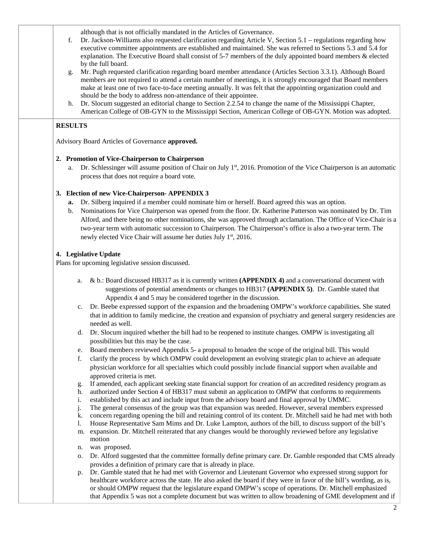although that is not officially mandated in the Articles of Governance.

- f. Dr. Jackson-Williams also requested clarification regarding Article V, Section 5.1 regulations regarding how executive committee appointments are established and maintained. She was referred to Sections 5.3 and 5.4 for explanation. The Executive Board shall consist of 5-7 members of the duly appointed board members & elected by the full board.
- g. Mr. Pugh requested clarification regarding board member attendance (Articles Section 3.3.1). Although Board members are not required to attend a certain number of meetings, it is strongly encouraged that Board members make at least one of two face-to-face meeting annually. It was felt that the appointing organization could and should be the body to address non-attendance of their appointee.
- h. Dr. Slocum suggested an editorial change to Section 2.2.54 to change the name of the Mississippi Chapter, American College of OB-GYN to the Mississippi Section, American College of OB-GYN. Motion was adopted.

### **RESULTS**

Advisory Board Articles of Governance **approved.** 

#### **2. Promotion of Vice-Chairperson to Chairperson**

a. Dr. Schlessinger will assume position of Chair on July  $1<sup>st</sup>$ , 2016. Promotion of the Vice Chairperson is an automatic process that does not require a board vote.

### **3. Election of new Vice-Chairperson- APPENDIX 3**

- **a.** Dr. Silberg inquired if a member could nominate him or herself. Board agreed this was an option.
- b. Nominations for Vice Chairperson was opened from the floor. Dr. Katherine Patterson was nominated by Dr. Tim Alford, and there being no other nominations, she was approved through acclamation. The Office of Vice-Chair is a two-year term with automatic succession to Chairperson. The Chairperson's office is also a two-year term. The newly elected Vice Chair will assume her duties July 1<sup>st</sup>, 2016.

### **4. Legislative Update**

Plans for upcoming legislative session discussed.

- a. & b.: Board discussed HB317 as it is currently written **(APPENDIX 4)** and a conversational document with suggestions of potential amendments or changes to HB317 **(APPENDIX 5)**. Dr. Gamble stated that Appendix 4 and 5 may be considered together in the discussion.
- c. Dr. Beebe expressed support of the expansion and the broadening OMPW's workforce capabilities. She stated that in addition to family medicine, the creation and expansion of psychiatry and general surgery residencies are needed as well.
- d. Dr. Slocum inquired whether the bill had to be reopened to institute changes. OMPW is investigating all possibilities but this may be the case.
- e. Board members reviewed Appendix 5- a proposal to broaden the scope of the original bill. This would
- f. clarify the process by which OMPW could development an evolving strategic plan to achieve an adequate physician workforce for all specialties which could possibly include financial support when available and approved criteria is met.
- If amended, each applicant seeking state financial support for creation of an accredited residency program as
- h. authorized under Section 4 of HB317 must submit an application to OMPW that conforms to requirements
- i. established by this act and include input from the advisory board and final approval by UMMC.
- j. The general consensus of the group was that expansion was needed. However, several members expressed
- k. concern regarding opening the bill and retaining control of its content. Dr. Mitchell said he had met with both
- l. House Representative Sam Mims and Dr. Luke Lampton, authors of the bill, to discuss support of the bill's
- m. expansion. Dr. Mitchell reiterated that any changes would be thoroughly reviewed before any legislative motion
- n. was proposed.
- o. Dr. Alford suggested that the committee formally define primary care. Dr. Gamble responded that CMS already provides a definition of primary care that is already in place.
- p. Dr. Gamble stated that he had met with Governor and Lieutenant Governor who expressed strong support for healthcare workforce across the state. He also asked the board if they were in favor of the bill's wording, as is, or should OMPW request that the legislature expand OMPW's scope of operations. Dr. Mitchell emphasized that Appendix 5 was not a complete document but was written to allow broadening of GME development and if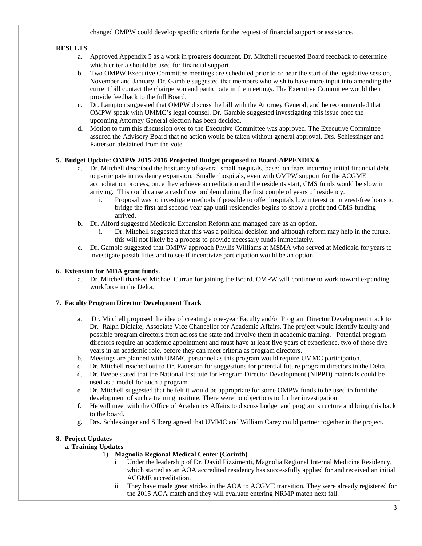changed OMPW could develop specific criteria for the request of financial support or assistance.

# **RESULTS**

- a. Approved Appendix 5 as a work in progress document. Dr. Mitchell requested Board feedback to determine which criteria should be used for financial support.
- b. Two OMPW Executive Committee meetings are scheduled prior to or near the start of the legislative session, November and January. Dr. Gamble suggested that members who wish to have more input into amending the current bill contact the chairperson and participate in the meetings. The Executive Committee would then provide feedback to the full Board.
- c. Dr. Lampton suggested that OMPW discuss the bill with the Attorney General; and he recommended that OMPW speak with UMMC's legal counsel. Dr. Gamble suggested investigating this issue once the upcoming Attorney General election has been decided.
- d. Motion to turn this discussion over to the Executive Committee was approved. The Executive Committee assured the Advisory Board that no action would be taken without general approval. Drs. Schlessinger and Patterson abstained from the vote

# **5. Budget Update: OMPW 2015-2016 Projected Budget proposed to Board**-**APPENDIX 6**

- a. Dr. Mitchell described the hesitancy of several small hospitals, based on fears incurring initial financial debt, to participate in residency expansion. Smaller hospitals, even with OMPW support for the ACGME accreditation process, once they achieve accreditation and the residents start, CMS funds would be slow in arriving. This could cause a cash flow problem during the first couple of years of residency.
	- i. Proposal was to investigate methods if possible to offer hospitals low interest or interest-free loans to bridge the first and second year gap until residencies begins to show a profit and CMS funding arrived.
- b. Dr. Alford suggested Medicaid Expansion Reform and managed care as an option.
	- i. Dr. Mitchell suggested that this was a political decision and although reform may help in the future, this will not likely be a process to provide necessary funds immediately.
- c. Dr. Gamble suggested that OMPW approach Phyllis Williams at MSMA who served at Medicaid for years to investigate possibilities and to see if incentivize participation would be an option.

### **6. Extension for MDA grant funds.**

a. Dr. Mitchell thanked Michael Curran for joining the Board. OMPW will continue to work toward expanding workforce in the Delta.

## **7. Faculty Program Director Development Track**

- a. Dr. Mitchell proposed the idea of creating a one-year Faculty and/or Program Director Development track to Dr. Ralph Didlake, Associate Vice Chancellor for Academic Affairs. The project would identify faculty and possible program directors from across the state and involve them in academic training. Potential program directors require an academic appointment and must have at least five years of experience, two of those five years in an academic role, before they can meet criteria as program directors.
- b. Meetings are planned with UMMC personnel as this program would require UMMC participation.
- c. Dr. Mitchell reached out to Dr. Patterson for suggestions for potential future program directors in the Delta.
- d. Dr. Beebe stated that the National Institute for Program Director Development (NIPPD) materials could be used as a model for such a program.
- e. Dr. Mitchell suggested that he felt it would be appropriate for some OMPW funds to be used to fund the development of such a training institute. There were no objections to further investigation.
- f. He will meet with the Office of Academics Affairs to discuss budget and program structure and bring this back to the board.
- g. Drs. Schlessinger and Silberg agreed that UMMC and William Carey could partner together in the project.

## **8. Project Updates**

## **a. Training Updates**

- 1) **Magnolia Regional Medical Center (Corinth)**
	- Under the leadership of Dr. David Pizzimenti, Magnolia Regional Internal Medicine Residency, which started as an AOA accredited residency has successfully applied for and received an initial ACGME accreditation.
	- ii They have made great strides in the AOA to ACGME transition. They were already registered for the 2015 AOA match and they will evaluate entering NRMP match next fall.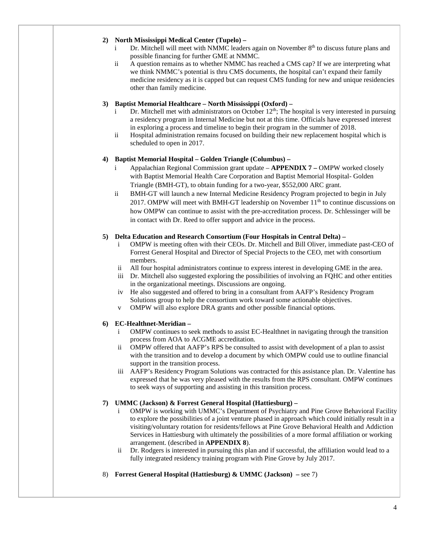### **2) North Mississippi Medical Center (Tupelo) –**

- i Dr. Mitchell will meet with NMMC leaders again on November  $8<sup>th</sup>$  to discuss future plans and possible financing for further GME at NMMC.
- ii A question remains as to whether NMMC has reached a CMS cap? If we are interpreting what we think NMMC's potential is thru CMS documents, the hospital can't expand their family medicine residency as it is capped but can request CMS funding for new and unique residencies other than family medicine.

### **3) Baptist Memorial Healthcare – North Mississippi (Oxford) –**

- Dr. Mitchell met with administrators on October  $12<sup>th</sup>$ ; The hospital is very interested in pursuing a residency program in Internal Medicine but not at this time. Officials have expressed interest in exploring a process and timeline to begin their program in the summer of 2018.
- ii Hospital administration remains focused on building their new replacement hospital which is scheduled to open in 2017.

### **4) Baptist Memorial Hospital – Golden Triangle (Columbus) –**

- i Appalachian Regional Commission grant update **APPENDIX 7 –** OMPW worked closely with Baptist Memorial Health Care Corporation and Baptist Memorial Hospital- Golden Triangle (BMH-GT), to obtain funding for a two-year, \$552,000 ARC grant.
- ii BMH-GT will launch a new Internal Medicine Residency Program projected to begin in July 2017. OMPW will meet with BMH-GT leadership on November  $11<sup>th</sup>$  to continue discussions on how OMPW can continue to assist with the pre-accreditation process. Dr. Schlessinger will be in contact with Dr. Reed to offer support and advice in the process.

### **5) Delta Education and Research Consortium (Four Hospitals in Central Delta) –**

- i OMPW is meeting often with their CEOs. Dr. Mitchell and Bill Oliver, immediate past-CEO of Forrest General Hospital and Director of Special Projects to the CEO, met with consortium members.
- ii All four hospital administrators continue to express interest in developing GME in the area.
- iii Dr. Mitchell also suggested exploring the possibilities of involving an FQHC and other entities in the organizational meetings. Discussions are ongoing.
- iv He also suggested and offered to bring in a consultant from AAFP's Residency Program Solutions group to help the consortium work toward some actionable objectives.
- v OMPW will also explore DRA grants and other possible financial options.

## **6) EC-Healthnet-Meridian –**

- i OMPW continues to seek methods to assist EC-Healthnet in navigating through the transition process from AOA to ACGME accreditation.
- ii OMPW offered that AAFP's RPS be consulted to assist with development of a plan to assist with the transition and to develop a document by which OMPW could use to outline financial support in the transition process.
- iii AAFP's Residency Program Solutions was contracted for this assistance plan. Dr. Valentine has expressed that he was very pleased with the results from the RPS consultant. OMPW continues to seek ways of supporting and assisting in this transition process.

#### **7) UMMC (Jackson) & Forrest General Hospital (Hattiesburg) –**

- OMPW is working with UMMC's Department of Psychiatry and Pine Grove Behavioral Facility to explore the possibilities of a joint venture phased in approach which could initially result in a visiting/voluntary rotation for residents/fellows at Pine Grove Behavioral Health and Addiction Services in Hattiesburg with ultimately the possibilities of a more formal affiliation or working arrangement. (described in **APPENDIX 8**).
- ii Dr. Rodgers is interested in pursuing this plan and if successful, the affiliation would lead to a fully integrated residency training program with Pine Grove by July 2017.
- 8) **Forrest General Hospital (Hattiesburg) & UMMC (Jackson) –** see 7)